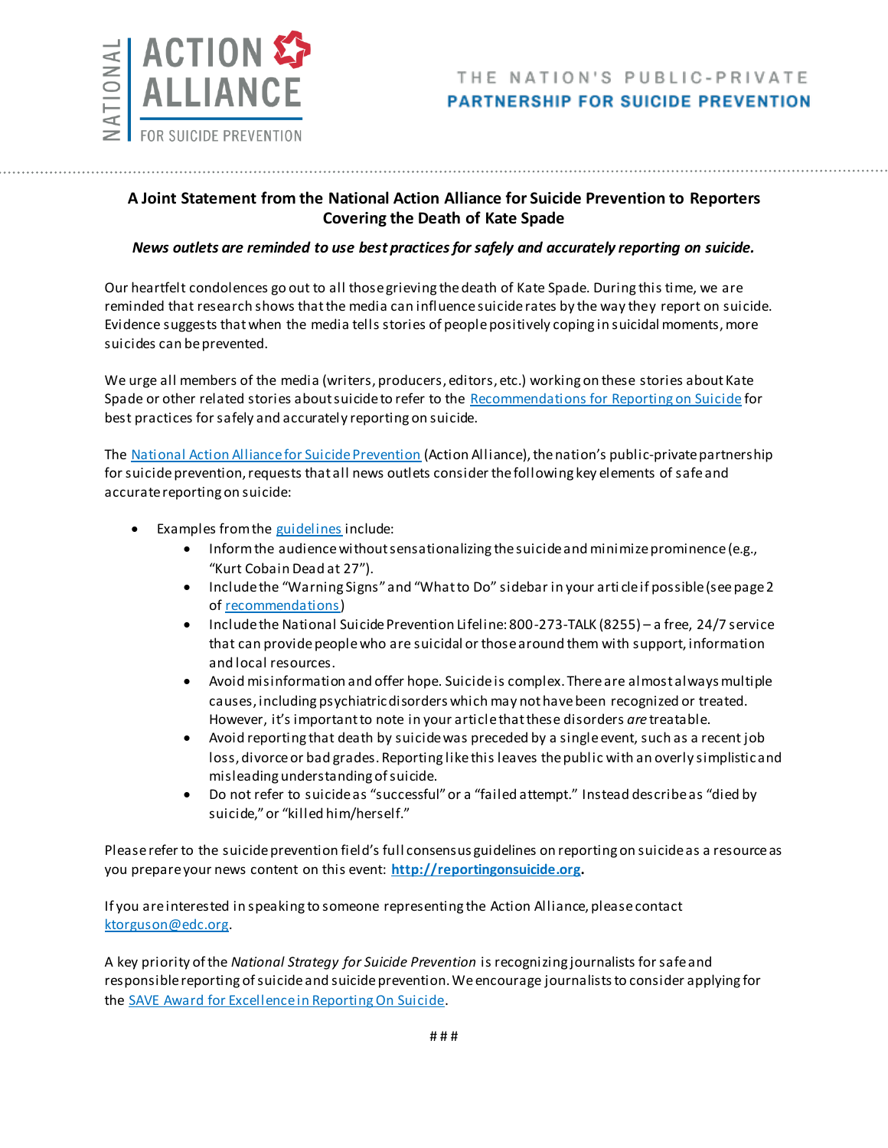

## **A Joint Statement from the National Action Alliance for Suicide Prevention to Reporters Covering the Death of Kate Spade**

## *News outlets are reminded to use best practices for safely and accurately reporting on suicide.*

Our heartfelt condolences go out to all those grieving the death of Kate Spade. During this time, we are reminded that research shows that the media can influence suicide rates by the way they report on suicide. Evidence suggests that when the media tells stories of people positively coping in suicidal moments, more suicides can be prevented.

We urge all members of the media (writers, producers, editors, etc.) working on these stories about Kate Spade or other related stories about suicide to refer to the [Recommendations for Reporting on Suicide](http://reportingonsuicide.org/wp-content/themes/ros2015/assets/images/Recommendations-eng.pdf) for best practices for safely and accurately reporting on suicide.

The [National Action Alliance for Suicide Prevention](http://actionallianceforsuicideprevention.org/) (Action Alliance), the nation's public-private partnership for suicide prevention, requests that all news outlets consider the following key elements of safe and accurate reporting on suicide:

- **Examples from the [guidelines](http://reportingonsuicide.org/wp-content/themes/ros2015/assets/images/Recommendations-eng.pdf) include:** 
	- Inform the audience without sensationalizing the suicide and minimize prominence (e.g., "Kurt Cobain Dead at 27").
	- Include the "Warning Signs" and "What to Do" sidebar in your arti cle if possible (see page 2 of [recommendations\)](http://reportingonsuicide.org/wp-content/themes/ros2015/assets/images/Recommendations-eng.pdf)
	- Include the National Suicide Prevention Lifeline: 800-273-TALK (8255) a free, 24/7 service that can provide people who are suicidal or those around them with support, information and local resources.
	- Avoid misinformation and offer hope. Suicide is complex. There are almost always multiple causes, including psychiatric disorders which may not have been recognized or treated. However, it's important to note in your article that these disorders *are* treatable.
	- Avoid reporting that death by suicide was preceded by a single event, such as a recent job loss, divorce or bad grades. Reporting like this leaves the public with an overly simplistic and misleading understanding of suicide.
	- Do not refer to suicide as "successful" or a "failed attempt." Instead describe as "died by suicide," or "killed him/herself."

Please refer to the suicide prevention field's full consensus guidelines on reporting on suicide as a resource as you prepare your news content on this event: **[http://reportingonsuicide.org.](http://reportingonsuicide.org/)**

If you are interested in speaking to someone representing the Action Alliance, please contact [ktorguson@edc.org.](mailto:ktorguson@edc.org)

A key priority of the *National Strategy for Suicide Prevention* is recognizing journalists for safe and responsible reporting of suicide and suicide prevention. We encourage journalists to consider applying for th[e SAVE Award for Excellence in Reporting On Suicide.](http://www.save.org/MediaAward/)